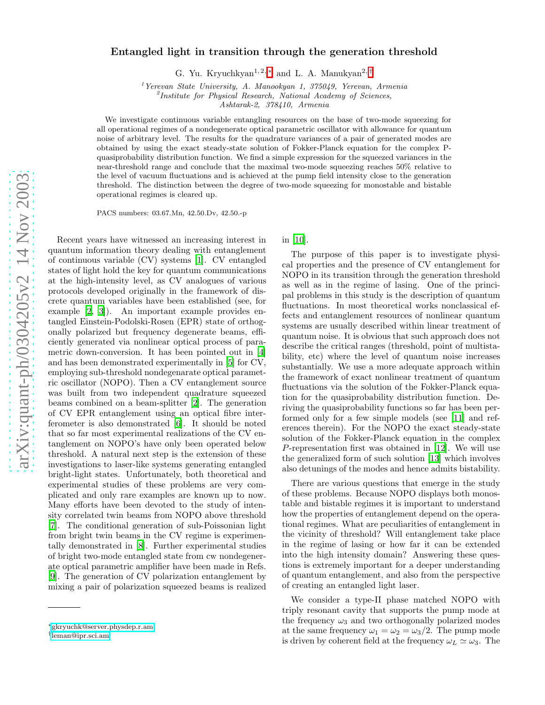## Entangled light in transition through the generation threshold

G. Yu. Kryuchkyan<sup>1,2,\*</sup> and L. A. Manukyan<sup>2,[†](#page-0-1)</sup>

<sup>1</sup>Yerevan State University, A. Manookyan 1, 375049, Yerevan, Armenia

 ${}^{2}$ Institute for Physical Research, National Academy of Sciences,

Ashtarak-2, 378410, Armenia

We investigate continuous variable entangling resources on the base of two-mode squeezing for all operational regimes of a nondegenerate optical parametric oscillator with allowance for quantum noise of arbitrary level. The results for the quadrature variances of a pair of generated modes are obtained by using the exact steady-state solution of Fokker-Planck equation for the complex Pquasiprobability distribution function. We find a simple expression for the squeezed variances in the near-threshold range and conclude that the maximal two-mode squeezing reaches 50% relative to the level of vacuum fluctuations and is achieved at the pump field intensity close to the generation threshold. The distinction between the degree of two-mode squeezing for monostable and bistable operational regimes is cleared up.

PACS numbers: 03.67.Mn, 42.50.Dv, 42.50.-p

Recent years have witnessed an increasing interest in quantum information theory dealing with entanglement of continuous variable (CV) systems [\[1\]](#page-6-0). CV entangled states of light hold the key for quantum communications at the high-intensity level, as CV analogues of various protocols developed originally in the framework of discrete quantum variables have been established (see, for example [\[2,](#page-6-1) [3](#page-6-2)]). An important example provides entangled Einstein-Podolski-Rosen (EPR) state of orthogonally polarized but frequency degenerate beams, efficiently generated via nonlinear optical process of parametric down-conversion. It has been pointed out in [\[4](#page-6-3)] and has been demonstrated experimentally in [\[5](#page-6-4)] for CV, employing sub-threshold nondegenarate optical parametric oscillator (NOPO). Then a CV entanglement source was built from two independent quadrature squeezed beams combined on a beam-splitter [\[2\]](#page-6-1). The generation of CV EPR entanglement using an optical fibre interferometer is also demonstrated [\[6\]](#page-6-5). It should be noted that so far most experimental realizations of the CV entanglement on NOPO's have only been operated below threshold. A natural next step is the extension of these investigations to laser-like systems generating entangled bright-light states. Unfortunately, both theoretical and experimental studies of these problems are very complicated and only rare examples are known up to now. Many efforts have been devoted to the study of intensity correlated twin beams from NOPO above threshold [\[7\]](#page-6-6). The conditional generation of sub-Poissonian light from bright twin beams in the CV regime is experimentally demonstrated in [\[8\]](#page-6-7). Further experimental studies of bright two-mode entangled state from cw nondegenerate optical parametric amplifier have been made in Refs. [\[9\]](#page-6-8). The generation of CV polarization entanglement by mixing a pair of polarization squeezed beams is realized

in [\[10\]](#page-6-9).

The purpose of this paper is to investigate physical properties and the presence of CV entanglement for NOPO in its transition through the generation threshold as well as in the regime of lasing. One of the principal problems in this study is the description of quantum fluctuations. In most theoretical works nonclassical effects and entanglement resources of nonlinear quantum systems are usually described within linear treatment of quantum noise. It is obvious that such approach does not describe the critical ranges (threshold, point of multistability, etc) where the level of quantum noise increases substantially. We use a more adequate approach within the framework of exact nonlinear treatment of quantum fluctuations via the solution of the Fokker-Planck equation for the quasiprobability distribution function. Deriving the quasiprobability functions so far has been performed only for a few simple models (see [\[11\]](#page-6-10) and references therein). For the NOPO the exact steady-state solution of the Fokker-Planck equation in the complex P-representation first was obtained in [\[12](#page-6-11)]. We will use the generalized form of such solution [\[13\]](#page-6-12) which involves also detunings of the modes and hence admits bistability.

There are various questions that emerge in the study of these problems. Because NOPO displays both monostable and bistable regimes it is important to understand how the properties of entanglement depend on the operational regimes. What are peculiarities of entanglement in the vicinity of threshold? Will entanglement take place in the regime of lasing or how far it can be extended into the high intensity domain? Answering these questions is extremely important for a deeper understanding of quantum entanglement, and also from the perspective of creating an entangled light laser.

We consider a type-II phase matched NOPO with triply resonant cavity that supports the pump mode at the frequency  $\omega_3$  and two orthogonally polarized modes at the same frequency  $\omega_1 = \omega_2 = \omega_3/2$ . The pump mode is driven by coherent field at the frequency  $\omega_L \simeq \omega_3$ . The

<span id="page-0-0"></span><sup>∗</sup>[gkryuchk@server.physdep.r.am](mailto:gkryuchk@server.physdep.r.am)

<span id="page-0-1"></span><sup>†</sup> [leman@ipr.sci.am](mailto:leman@ipr.sci.am)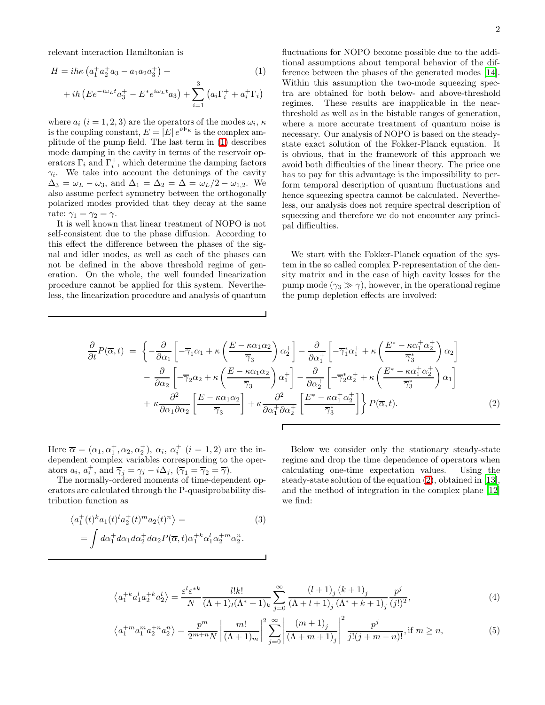<span id="page-1-0"></span>relevant interaction Hamiltonian is

$$
H = i\hbar\kappa \left( a_1^+ a_2^+ a_3 - a_1 a_2 a_3^+ \right) +
$$
  
+  $i\hbar \left( E e^{-i\omega_L t} a_3^+ - E^* e^{i\omega_L t} a_3 \right) + \sum_{i=1}^3 \left( a_i \Gamma_i^+ + a_i^+ \Gamma_i \right)$ 

where  $a_i$   $(i = 1, 2, 3)$  are the operators of the modes  $\omega_i$ ,  $\kappa$ is the coupling constant,  $E = |E| e^{i\Phi_E}$  is the complex amplitude of the pump field. The last term in [\(1\)](#page-1-0) describes mode damping in the cavity in terms of the reservoir operators  $\Gamma_i$  and  $\Gamma_i^+$ , which determine the damping factors  $\gamma_i$ . We take into account the detunings of the cavity  $\Delta_3 = \omega_L - \omega_3$ , and  $\Delta_1 = \Delta_2 = \Delta = \omega_L/2 - \omega_{1,2}$ . We also assume perfect symmetry between the orthogonally polarized modes provided that they decay at the same rate:  $\gamma_1 = \gamma_2 = \gamma$ .

It is well known that linear treatment of NOPO is not self-consistent due to the phase diffusion. According to this effect the difference between the phases of the signal and idler modes, as well as each of the phases can not be defined in the above threshold regime of generation. On the whole, the well founded linearization procedure cannot be applied for this system. Nevertheless, the linearization procedure and analysis of quantum

fluctuations for NOPO become possible due to the additional assumptions about temporal behavior of the difference between the phases of the generated modes [\[14\]](#page-6-13). Within this assumption the two-mode squeezing spectra are obtained for both below- and above-threshold regimes. These results are inapplicable in the nearthreshold as well as in the bistable ranges of generation, where a more accurate treatment of quantum noise is necessary. Our analysis of NOPO is based on the steadystate exact solution of the Fokker-Planck equation. It is obvious, that in the framework of this approach we avoid both difficulties of the linear theory. The price one has to pay for this advantage is the impossibility to perform temporal description of quantum fluctuations and hence squeezing spectra cannot be calculated. Nevertheless, our analysis does not require spectral description of squeezing and therefore we do not encounter any principal difficulties.

We start with the Fokker-Planck equation of the system in the so called complex P-representation of the density matrix and in the case of high cavity losses for the pump mode  $(\gamma_3 \gg \gamma)$ , however, in the operational regime the pump depletion effects are involved:

<span id="page-1-1"></span>
$$
\frac{\partial}{\partial t}P(\overline{\alpha},t) = \left\{-\frac{\partial}{\partial \alpha_1} \left[ -\overline{\gamma}_1 \alpha_1 + \kappa \left( \frac{E - \kappa \alpha_1 \alpha_2}{\overline{\gamma}_3} \right) \alpha_2^+ \right] - \frac{\partial}{\partial \alpha_1^+} \left[ -\overline{\gamma}_1^* \alpha_1^+ + \kappa \left( \frac{E^* - \kappa \alpha_1^+ \alpha_2^+}{\overline{\gamma}_3^*} \right) \alpha_2 \right] - \frac{\partial}{\partial \alpha_2} \left[ -\overline{\gamma}_2 \alpha_2 + \kappa \left( \frac{E - \kappa \alpha_1 \alpha_2}{\overline{\gamma}_3} \right) \alpha_1^+ \right] - \frac{\partial}{\partial \alpha_2^+} \left[ -\overline{\gamma}_2^* \alpha_2^+ + \kappa \left( \frac{E^* - \kappa \alpha_1^+ \alpha_2^+}{\overline{\gamma}_3^*} \right) \alpha_1 \right] + \kappa \frac{\partial^2}{\partial \alpha_1 \partial \alpha_2} \left[ \frac{E - \kappa \alpha_1 \alpha_2}{\overline{\gamma}_3} \right] + \kappa \frac{\partial^2}{\partial \alpha_1^+ \partial \alpha_2^+} \left[ \frac{E^* - \kappa \alpha_1^+ \alpha_2^+}{\overline{\gamma}_3^*} \right] \right\} P(\overline{\alpha}, t). \tag{2}
$$

Here  $\overline{\alpha} = (\alpha_1, \alpha_1^+, \alpha_2, \alpha_2^+), \alpha_i, \alpha_i^+$   $(i = 1, 2)$  are the independent complex variables corresponding to the operators  $a_i$ ,  $a_i^+$ , and  $\overline{\gamma}_j = \gamma_j - i\Delta_j$ ,  $(\overline{\gamma}_1 = \overline{\gamma}_2 = \overline{\gamma})$ .

The normally-ordered moments of time-dependent operators are calculated through the P-quasiprobability distribution function as

$$
\langle a_1^+(t)^k a_1(t)^l a_2^+(t)^m a_2(t)^n \rangle =
$$
  
= 
$$
\int d\alpha_1^+ d\alpha_1 d\alpha_2^+ d\alpha_2 P(\overline{\alpha}, t) \alpha_1^{+k} \alpha_1^l \alpha_2^{+m} \alpha_2^n.
$$
 (3)

Below we consider only the stationary steady-state regime and drop the time dependence of operators when calculating one-time expectation values. Using the steady-state solution of the equation [\(2\)](#page-1-1), obtained in [\[13\]](#page-6-12), and the method of integration in the complex plane [\[12](#page-6-11)] we find:

$$
\langle a_1^{+k} a_1^l a_2^{+k} a_2^l \rangle = \frac{\varepsilon^l \varepsilon^{*k}}{N} \frac{l! k!}{(\Lambda + 1)_l (\Lambda^* + 1)_k} \sum_{j=0}^{\infty} \frac{(l+1)_j (k+1)_j}{(\Lambda + l + 1)_j (\Lambda^* + k + 1)_j} \frac{p^j}{(j!)^2},\tag{4}
$$

$$
\left\langle a_1^{+m} a_1^{m} a_2^{+n} a_2^{n} \right\rangle = \frac{p^m}{2^{m+n} N} \left| \frac{m!}{(\Lambda+1)_m} \right|^2 \sum_{j=0}^{\infty} \left| \frac{(m+1)_j}{(\Lambda+m+1)_j} \right|^2 \frac{p^j}{j!(j+m-n)!}, \text{if } m \ge n,
$$
\n(5)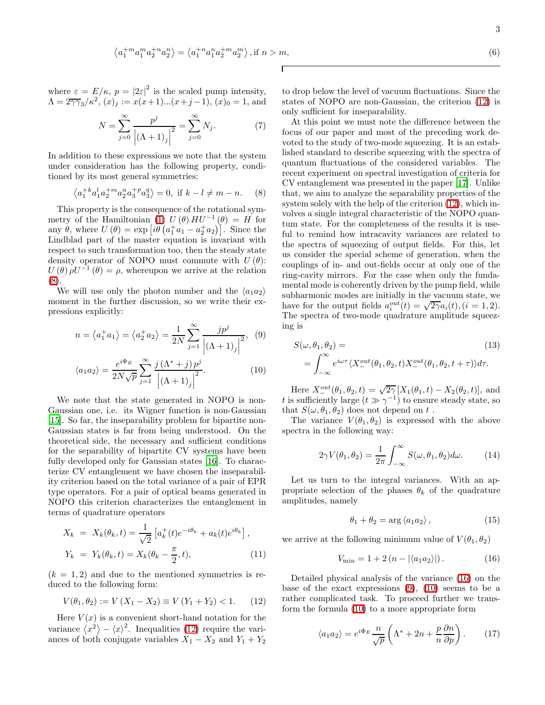$$
\left\langle a_1^{+m} a_1^{m} a_2^{+n} a_2^{n} \right\rangle = \left\langle a_1^{+n} a_1^{n} a_2^{+m} a_2^{m} \right\rangle, \text{if } n > m,
$$
\n(6)

<span id="page-2-6"></span>where  $\varepsilon = E/\kappa$ ,  $p = |2\varepsilon|^2$  is the scaled pump intensity,  $\Lambda = 2\overline{\gamma\gamma_3}/\kappa^2$ ,  $(x)_j := x(x+1)...(x+j-1)$ ,  $(x)_0 = 1$ , and

$$
N = \sum_{j=0}^{\infty} \frac{p^j}{\left| (\Lambda + 1)_j \right|^2} = \sum_{j=0}^{\infty} N_j.
$$
 (7)

<span id="page-2-0"></span>In addition to these expressions we note that the system under consideration has the following property, conditioned by its most general symmetries:

$$
\langle a_1^{+k} a_1^l a_2^{+m} a_2^n a_3^{+p} a_3^q \rangle = 0, \text{ if } k - l \neq m - n. \tag{8}
$$

This property is the consequence of the rotational sym-metry of the Hamiltonian [\(1\)](#page-1-0)  $U(\theta) H U^{-1}(\theta) = H$  for any  $\theta$ , where  $U(\theta) = \exp[i\theta (a_1^{\dagger} a_1 - a_2^{\dagger} a_2)]$ . Since the Lindblad part of the master equation is invariant with respect to such transformation too, then the steady state density operator of NOPO must commute with  $U(\theta)$ :  $U(\theta) \rho U^{-1}(\theta) = \rho$ , whereupon we arrive at the relation [\(8\)](#page-2-0).

<span id="page-2-3"></span>We will use only the photon number and the  $\langle a_1 a_2 \rangle$ moment in the further discussion, so we write their expressions explicitly:

$$
n = \langle a_1^+ a_1 \rangle = \langle a_2^+ a_2 \rangle = \frac{1}{2N} \sum_{j=1}^{\infty} \frac{j p^j}{\left| (\Lambda + 1)_j \right|^2}, \quad (9)
$$

$$
\langle a_1 a_2 \rangle = \frac{e^{i\Phi_E}}{2N\sqrt{p}} \sum_{j=1}^{\infty} \frac{j(\Lambda^* + j) p^j}{\left| (\Lambda + 1)_j \right|^2}.
$$
 (10)

We note that the state generated in NOPO is non-Gaussian one, i.e. its Wigner function is non-Gaussian [\[15\]](#page-6-14). So far, the inseparability problem for bipartite non-Gaussian states is far from being understood. On the theoretical side, the necessary and sufficient conditions for the separability of bipartite CV systems have been fully developed only for Gaussian states [\[16](#page-6-15)]. To characterize CV entanglement we have chosen the inseparability criterion based on the total variance of a pair of EPR type operators. For a pair of optical beams generated in NOPO this criterion characterizes the entanglement in terms of quadrature operators

$$
X_k = X_k(\theta_k, t) = \frac{1}{\sqrt{2}} \left[ a_k^+(t) e^{-i\theta_k} + a_k(t) e^{i\theta_k} \right],
$$
  
\n
$$
Y_k = Y_k(\theta_k, t) = X_k(\theta_k - \frac{\pi}{2}, t),
$$
\n(11)

<span id="page-2-1"></span> $(k = 1, 2)$  and due to the mentioned symmetries is reduced to the following form:

$$
V(\theta_1, \theta_2) := V(X_1 - X_2) \equiv V(Y_1 + Y_2) < 1. \tag{12}
$$

Here  $V(x)$  is a convenient short-hand notation for the variance  $\langle x^2 \rangle - \langle x \rangle^2$ . Inequalities [\(12\)](#page-2-1) require the variances of both conjugate variables  $X_1 - X_2$  and  $Y_1 + Y_2$ 

to drop below the level of vacuum fluctuations. Since the states of NOPO are non-Gaussian, the criterion [\(12\)](#page-2-1) is only sufficient for inseparability.

At this point we must note the difference between the focus of our paper and most of the preceding work devoted to the study of two-mode squeezing. It is an established standard to describe squeezing with the spectra of quantum fluctuations of the considered variables. The recent experiment on spectral investigation of criteria for CV entanglement was presented in the paper [\[17\]](#page-6-16). Unlike that, we aim to analyze the separability properties of the system solely with the help of the criterion [\(12\)](#page-2-1), which involves a single integral characteristic of the NOPO quantum state. For the completeness of the results it is useful to remind how intracavity variances are related to the spectra of squeezing of output fields. For this, let us consider the special scheme of generation, when the couplings of in- and out-fields occur at only one of the ring-cavity mirrors. For the case when only the fundamental mode is coherently driven by the pump field, while subharmonic modes are initially in the vacuum state, we have for the output fields  $a_i^{out}(t) = \sqrt{2\gamma}a_i(t), (i = 1, 2)$ . The spectra of two-mode quadrature amplitude squeezing is

$$
S(\omega, \theta_1, \theta_2) = \qquad (13)
$$
  
= 
$$
\int_{-\infty}^{\infty} e^{i\omega \tau} \langle X_{-}^{out}(\theta_1, \theta_2, t) X_{-}^{out}(\theta_1, \theta_2, t + \tau) \rangle d\tau.
$$

Here  $X_1^{out}(\theta_1, \theta_2, t) = \sqrt{2\gamma} [X_1(\theta_1, t) - X_2(\theta_2, t)],$  and t is sufficiently large  $(t \gg \gamma^{-1})$  to ensure steady state, so that  $S(\omega, \theta_1, \theta_2)$  does not depend on t.

The variance  $V(\theta_1, \theta_2)$  is expressed with the above spectra in the following way:

$$
2\gamma V(\theta_1, \theta_2) = \frac{1}{2\pi} \int_{-\infty}^{\infty} S(\omega, \theta_1, \theta_2) d\omega.
$$
 (14)

<span id="page-2-5"></span>Let us turn to the integral variances. With an appropriate selection of the phases  $\theta_k$  of the quadrature amplitudes, namely

$$
\theta_1 + \theta_2 = \arg \langle a_1 a_2 \rangle, \qquad (15)
$$

<span id="page-2-2"></span>we arrive at the following minimum value of  $V(\theta_1, \theta_2)$ 

$$
V_{\min} = 1 + 2\left(n - |\langle a_1 a_2 \rangle|\right). \tag{16}
$$

<span id="page-2-4"></span>Detailed physical analysis of the variance [\(16\)](#page-2-2) on the base of the exact expressions  $(9)$ ,  $(10)$  seems to be a rather complicated task. To proceed further we transform the formula [\(10\)](#page-2-3) to a more appropriate form

$$
\langle a_1 a_2 \rangle = e^{i\Phi_E} \frac{n}{\sqrt{p}} \left( \Lambda^* + 2n + \frac{p}{n} \frac{\partial n}{\partial p} \right). \tag{17}
$$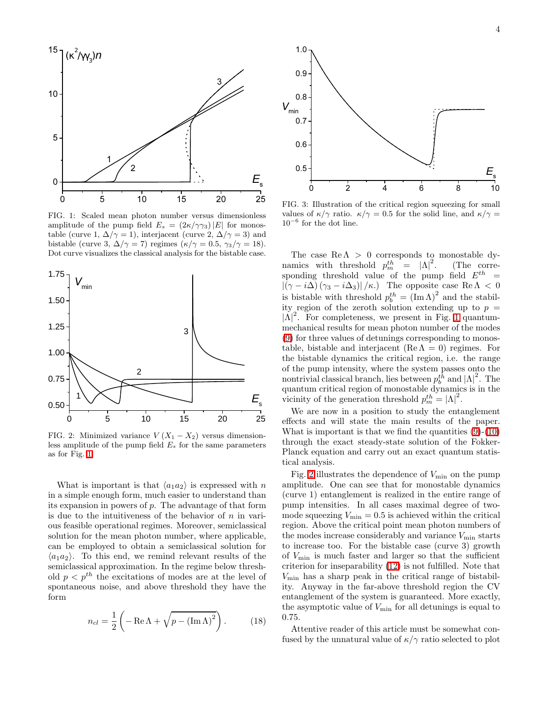

<span id="page-3-0"></span>FIG. 1: Scaled mean photon number versus dimensionless amplitude of the pump field  $E_s = (2\kappa/\gamma \gamma_3)|E|$  for monostable (curve 1,  $\Delta/\gamma = 1$ ), interjacent (curve 2,  $\Delta/\gamma = 3$ ) and bistable (curve 3,  $\Delta/\gamma = 7$ ) regimes  $(\kappa/\gamma = 0.5, \gamma_3/\gamma = 18)$ . Dot curve visualizes the classical analysis for the bistable case.



<span id="page-3-1"></span>FIG. 2: Minimized variance  $V(X_1 - X_2)$  versus dimensionless amplitude of the pump field  $E_s$  for the same parameters as for Fig. [1.](#page-3-0)

What is important is that  $\langle a_1 a_2 \rangle$  is expressed with n in a simple enough form, much easier to understand than its expansion in powers of p. The advantage of that form is due to the intuitiveness of the behavior of  $n$  in various feasible operational regimes. Moreover, semiclassical solution for the mean photon number, where applicable, can be employed to obtain a semiclassical solution for  $\langle a_1 a_2 \rangle$ . To this end, we remind relevant results of the semiclassical approximation. In the regime below threshold  $p < p<sup>th</sup>$  the excitations of modes are at the level of spontaneous noise, and above threshold they have the form

<span id="page-3-3"></span>
$$
n_{cl} = \frac{1}{2} \left( -\operatorname{Re}\Lambda + \sqrt{p - (\operatorname{Im}\Lambda)^2} \right). \tag{18}
$$



<span id="page-3-2"></span>FIG. 3: Illustration of the critical region squeezing for small values of  $\kappa/\gamma$  ratio.  $\kappa/\gamma = 0.5$  for the solid line, and  $\kappa/\gamma =$ 10<sup>−</sup><sup>6</sup> for the dot line.

The case  $Re \Lambda > 0$  corresponds to monostable dynamics with threshold  $p_m^{th} = |\Lambda|^2$ . (The corresponding threshold value of the pump field  $E^{th}$  =  $|(\gamma - i\Delta)(\gamma_3 - i\Delta_3)|/\kappa$ . The opposite case Re  $\Lambda < 0$ is bistable with threshold  $p_b^{th} = (\text{Im }\Lambda)^2$  and the stability region of the zeroth solution extending up to  $p =$  $|\Lambda|^2$ . For completeness, we present in Fig. [1](#page-3-0) quantummechanical results for mean photon number of the modes [\(9\)](#page-2-3) for three values of detunings corresponding to monostable, bistable and interjacent (Re  $\Lambda = 0$ ) regimes. For the bistable dynamics the critical region, i.e. the range of the pump intensity, where the system passes onto the nontrivial classical branch, lies between  $p_b^{th}$  and  $|\Lambda|^2$ . The quantum critical region of monostable dynamics is in the vicinity of the generation threshold  $p_m^{th} = |\Lambda|^2$ .

We are now in a position to study the entanglement effects and will state the main results of the paper. What is important is that we find the quantities  $(9)-(10)$  $(9)-(10)$ through the exact steady-state solution of the Fokker-Planck equation and carry out an exact quantum statistical analysis.

Fig. [2](#page-3-1) illustrates the dependence of  $V_{\text{min}}$  on the pump amplitude. One can see that for monostable dynamics (curve 1) entanglement is realized in the entire range of pump intensities. In all cases maximal degree of twomode squeezing  $V_{\text{min}} = 0.5$  is achieved within the critical region. Above the critical point mean photon numbers of the modes increase considerably and variance  $V_{\text{min}}$  starts to increase too. For the bistable case (curve 3) growth of  $V_{\text{min}}$  is much faster and larger so that the sufficient criterion for inseparability [\(12\)](#page-2-1) is not fulfilled. Note that  $V_{\text{min}}$  has a sharp peak in the critical range of bistability. Anyway in the far-above threshold region the CV entanglement of the system is guaranteed. More exactly, the asymptotic value of  $V_{\text{min}}$  for all detunings is equal to 0.75.

Attentive reader of this article must be somewhat confused by the unnatural value of  $\kappa/\gamma$  ratio selected to plot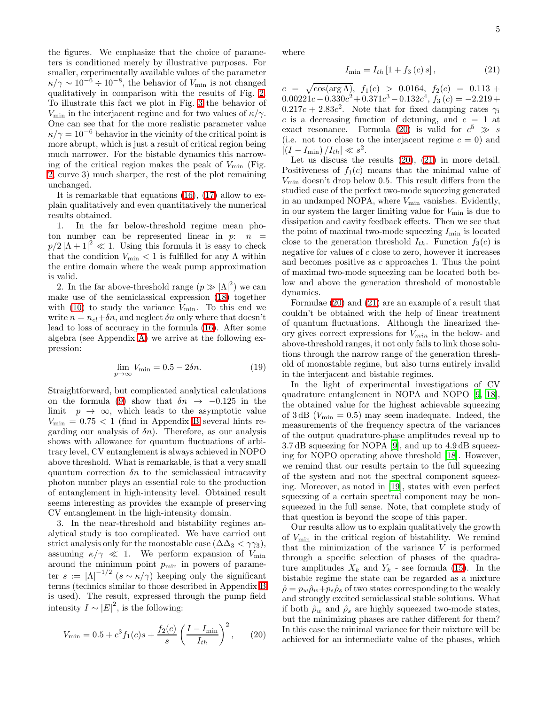the figures. We emphasize that the choice of parameters is conditioned merely by illustrative purposes. For smaller, experimentally available values of the parameter  $\kappa/\gamma \sim 10^{-6} \div 10^{-8}$ , the behavior of  $V_{\text{min}}$  is not changed qualitatively in comparison with the results of Fig. [2.](#page-3-1) To illustrate this fact we plot in Fig. [3](#page-3-2) the behavior of  $V_{\text{min}}$  in the interjacent regime and for two values of  $\kappa/\gamma$ . One can see that for the more realistic parameter value  $\kappa/\gamma = 10^{-6}$  behavior in the vicinity of the critical point is more abrupt, which is just a result of critical region being much narrower. For the bistable dynamics this narrowing of the critical region makes the peak of  $V_{\text{min}}$  (Fig. [2,](#page-3-1) curve 3) much sharper, the rest of the plot remaining unchanged.

It is remarkable that equations [\(16\)](#page-2-2), [\(17\)](#page-2-4) allow to explain qualitatively and even quantitatively the numerical results obtained.

1. In the far below-threshold regime mean photon number can be represented linear in  $p: n =$  $p/2 |\Lambda + 1|^2 \ll 1$ . Using this formula it is easy to check that the condition  $V_{\text{min}} < 1$  is fulfilled for any  $\Lambda$  within the entire domain where the weak pump approximation is valid.

2. In the far above-threshold range  $(p \gg |\Lambda|^2)$  we can make use of the semiclassical expression [\(18\)](#page-3-3) together with  $(10)$  to study the variance  $V_{\text{min}}$ . To this end we write  $n = n_{cl} + \delta n$ , and neglect  $\delta n$  only where that doesn't lead to loss of accuracy in the formula [\(16\)](#page-2-2). After some algebra (see Appendix [A\)](#page-5-0) we arrive at the following expression:

$$
\lim_{p \to \infty} V_{\text{min}} = 0.5 - 2\delta n. \tag{19}
$$

<span id="page-4-2"></span>Straightforward, but complicated analytical calculations on the formula [\(9\)](#page-2-3) show that  $\delta n \rightarrow -0.125$  in the limit  $p \to \infty$ , which leads to the asymptotic value  $V_{\text{min}} = 0.75 < 1$  (find in Appendix [B](#page-5-1) several hints regarding our analysis of  $\delta n$ . Therefore, as our analysis shows with allowance for quantum fluctuations of arbitrary level, CV entanglement is always achieved in NOPO above threshold. What is remarkable, is that a very small quantum correction  $\delta n$  to the semiclassical intracavity photon number plays an essential role to the production of entanglement in high-intensity level. Obtained result seems interesting as provides the example of preserving CV entanglement in the high-intensity domain.

3. In the near-threshold and bistability regimes analytical study is too complicated. We have carried out strict analysis only for the monostable case ( $\Delta\Delta_3 < \gamma\gamma_3$ ), assuming  $\kappa/\gamma \ll 1$ . We perform expansion of  $V_{\text{min}}$ around the minimum point  $p_{\min}$  in powers of parameter  $s := |\Lambda|^{-1/2}$   $(s \sim \kappa/\gamma)$  keeping only the significant terms (technics similar to those described in Appendix [B](#page-5-1) is used). The result, expressed through the pump field intensity  $I \sim |E|^2$ , is the following:

<span id="page-4-0"></span>
$$
V_{\min} = 0.5 + c^3 f_1(c)s + \frac{f_2(c)}{s} \left(\frac{I - I_{\min}}{I_{th}}\right)^2, \qquad (20)
$$

<span id="page-4-1"></span>where

$$
I_{\min} = I_{th} \left[ 1 + f_3 \left( c \right) s \right],\tag{21}
$$

 $c = \sqrt{\cos(\arg \Lambda)}, f_1(c) > 0.0164, f_2(c) = 0.113 +$  $0.00221c - 0.330c^2 + 0.371c^3 - 0.132c^4$ ,  $f_3(c) = -2.219 +$  $0.217c + 2.83c^2$ . Note that for fixed damping rates  $\gamma_i$ c is a decreasing function of detuning, and  $c = 1$  at exact resonance. Formula [\(20\)](#page-4-0) is valid for  $c^5 \gg s$ (i.e. not too close to the interjacent regime  $c = 0$ ) and  $|(I - I_{\min})/I_{th}| \ll s^2.$ 

Let us discuss the results  $(20)$ ,  $(21)$  in more detail. Positiveness of  $f_1(c)$  means that the minimal value of  $V_{\text{min}}$  doesn't drop below 0.5. This result differs from the studied case of the perfect two-mode squeezing generated in an undamped NOPA, where  $V_{\text{min}}$  vanishes. Evidently, in our system the larger limiting value for  $V_{\text{min}}$  is due to dissipation and cavity feedback effects. Then we see that the point of maximal two-mode squeezing  $I_{\min}$  is located close to the generation threshold  $I_{th}$ . Function  $f_3(c)$  is negative for values of  $c$  close to zero, however it increases and becomes positive as c approaches 1. Thus the point of maximal two-mode squeezing can be located both below and above the generation threshold of monostable dynamics.

Formulae [\(20\)](#page-4-0) and [\(21\)](#page-4-1) are an example of a result that couldn't be obtained with the help of linear treatment of quantum fluctuations. Although the linearized theory gives correct expressions for  $V_{min}$  in the below- and above-threshold ranges, it not only fails to link those solutions through the narrow range of the generation threshold of monostable regime, but also turns entirely invalid in the interjacent and bistable regimes.

In the light of experimental investigations of CV quadrature entanglement in NOPA and NOPO [\[9](#page-6-8), [18\]](#page-6-17), the obtained value for the highest achievable squeezing of  $3 dB (V_{\text{min}} = 0.5)$  may seem inadequate. Indeed, the measurements of the frequency spectra of the variances of the output quadrature-phase amplitudes reveal up to 3.7 dB squeezing for NOPA [\[9](#page-6-8)], and up to 4.9 dB squeezing for NOPO operating above threshold [\[18](#page-6-17)]. However, we remind that our results pertain to the full squeezing of the system and not the spectral component squeezing. Moreover, as noted in [\[19](#page-6-18)], states with even perfect squeezing of a certain spectral component may be nonsqueezed in the full sense. Note, that complete study of that question is beyond the scope of this paper.

Our results allow us to explain qualitatively the growth of  $V_{\text{min}}$  in the critical region of bistability. We remind that the minimization of the variance  $V$  is performed through a specific selection of phases of the quadrature amplitudes  $X_k$  and  $Y_k$  - see formula [\(15\)](#page-2-5). In the bistable regime the state can be regarded as a mixture  $\hat{\rho} = p_w \hat{\rho}_w + p_s \hat{\rho}_s$  of two states corresponding to the weakly and strongly excited semiclassical stable solutions. What if both  $\rho_w$  and  $\rho_s$  are highly squeezed two-mode states, but the minimizing phases are rather different for them? In this case the minimal variance for their mixture will be achieved for an intermediate value of the phases, which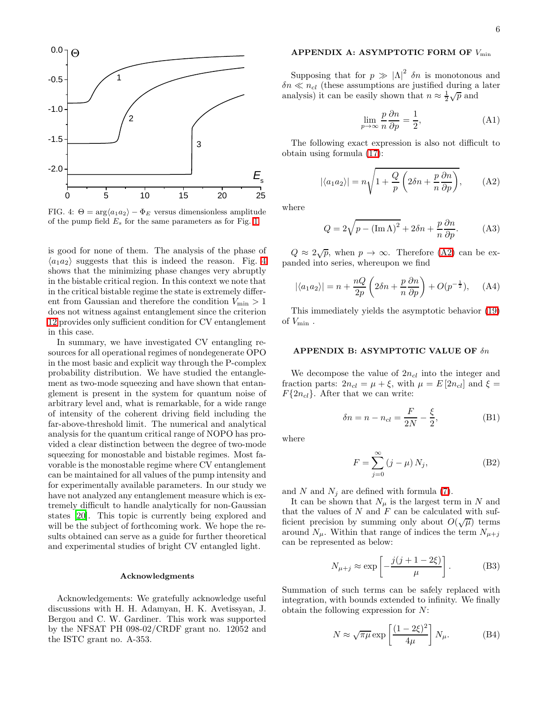

<span id="page-5-2"></span>FIG. 4:  $\Theta = \arg \langle a_1 a_2 \rangle - \Phi_E$  versus dimensionless amplitude of the pump field  $E_s$  for the same parameters as for Fig. [1.](#page-3-0)

is good for none of them. The analysis of the phase of  $\langle a_1 a_2 \rangle$  suggests that this is indeed the reason. Fig. [4](#page-5-2) shows that the minimizing phase changes very abruptly in the bistable critical region. In this context we note that in the critical bistable regime the state is extremely different from Gaussian and therefore the condition  $V_{\text{min}} > 1$ does not witness against entanglement since the criterion [12](#page-2-1) provides only sufficient condition for CV entanglement in this case.

In summary, we have investigated CV entangling resources for all operational regimes of nondegenerate OPO in the most basic and explicit way through the P-complex probability distribution. We have studied the entanglement as two-mode squeezing and have shown that entanglement is present in the system for quantum noise of arbitrary level and, what is remarkable, for a wide range of intensity of the coherent driving field including the far-above-threshold limit. The numerical and analytical analysis for the quantum critical range of NOPO has provided a clear distinction between the degree of two-mode squeezing for monostable and bistable regimes. Most favorable is the monostable regime where CV entanglement can be maintained for all values of the pump intensity and for experimentally available parameters. In our study we have not analyzed any entanglement measure which is extremely difficult to handle analytically for non-Gaussian states [\[20](#page-6-19)]. This topic is currently being explored and will be the subject of forthcoming work. We hope the results obtained can serve as a guide for further theoretical and experimental studies of bright CV entangled light.

## Acknowledgments

Acknowledgements: We gratefully acknowledge useful discussions with H. H. Adamyan, H. K. Avetissyan, J. Bergou and C. W. Gardiner. This work was supported by the NFSAT PH 098-02/CRDF grant no. 12052 and the ISTC grant no. A-353.

## APPENDIX A: ASYMPTOTIC FORM OF  $V_{\rm min}$

<span id="page-5-0"></span>Supposing that for  $p \gg |\Lambda|^2$  *δn* is monotonous and  $\delta n \ll n_{cl}$  (these assumptions are justified during a later analysis) it can be easily shown that  $n \approx \frac{1}{2}\sqrt{p}$  and

$$
\lim_{p \to \infty} \frac{p}{n} \frac{\partial n}{\partial p} = \frac{1}{2},\tag{A1}
$$

<span id="page-5-3"></span>The following exact expression is also not difficult to obtain using formula [\(17\)](#page-2-4):

$$
|\langle a_1 a_2 \rangle| = n \sqrt{1 + \frac{Q}{p} \left( 2\delta n + \frac{p}{n} \frac{\partial n}{\partial p} \right)},
$$
 (A2)

where

$$
Q = 2\sqrt{p - (\operatorname{Im}\Lambda)^2} + 2\delta n + \frac{p}{n}\frac{\partial n}{\partial p}.
$$
 (A3)

 $Q \approx 2\sqrt{p}$ , when  $p \to \infty$ . Therefore [\(A2\)](#page-5-3) can be expanded into series, whereupon we find

$$
|\langle a_1 a_2 \rangle| = n + \frac{nQ}{2p} \left( 2\delta n + \frac{p}{n} \frac{\partial n}{\partial p} \right) + O(p^{-\frac{1}{2}}), \quad (A4)
$$

<span id="page-5-1"></span>This immediately yields the asymptotic behavior [\(19\)](#page-4-2) of  $V_{\text{min}}$ .

## APPENDIX B: ASYMPTOTIC VALUE OF δn

We decompose the value of  $2n_{cl}$  into the integer and fraction parts:  $2n_{cl} = \mu + \xi$ , with  $\mu = E[2n_{cl}]$  and  $\xi =$  $F\{2n_{cl}\}.$  After that we can write:

$$
\delta n = n - n_{cl} = \frac{F}{2N} - \frac{\xi}{2},
$$
\n(B1)

where

$$
F = \sum_{j=0}^{\infty} (j - \mu) N_j,
$$
 (B2)

and N and  $N_j$  are defined with formula [\(7\)](#page-2-6).

It can be shown that  $N_{\mu}$  is the largest term in N and that the values of  $N$  and  $F$  can be calculated with sufficient precision by summing only about  $O(\sqrt{\mu})$  terms around  $N_{\mu}$ . Within that range of indices the term  $N_{\mu+j}$ can be represented as below:

$$
N_{\mu+j} \approx \exp\left[-\frac{j(j+1-2\xi)}{\mu}\right].
$$
 (B3)

Summation of such terms can be safely replaced with integration, with bounds extended to infinity. We finally obtain the following expression for N:

$$
N \approx \sqrt{\pi \mu} \exp\left[\frac{(1 - 2\xi)^2}{4\mu}\right] N_{\mu}.
$$
 (B4)